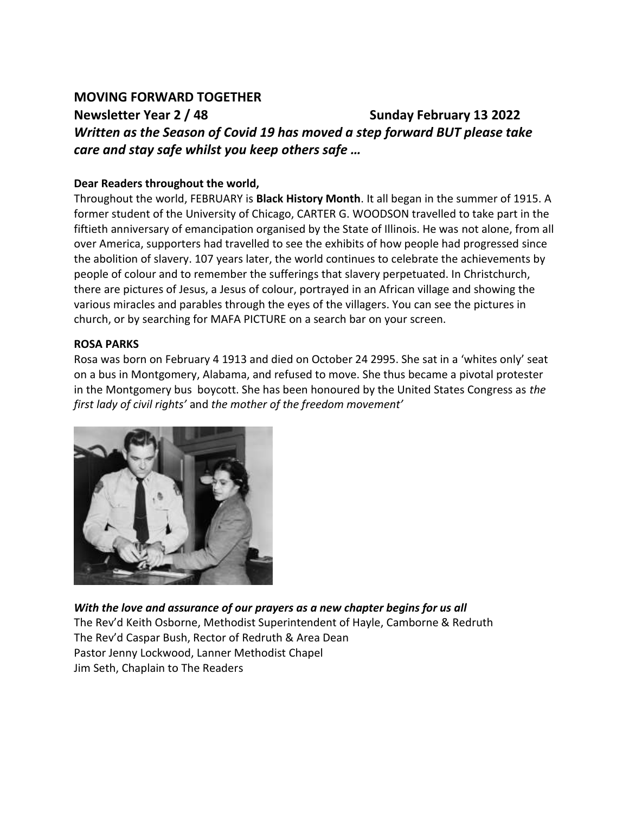### **MOVING FORWARD TOGETHER**

**Newsletter Year 2 / 48 Sunday February 13 2022**  *Written as the Season of Covid 19 has moved a step forward BUT please take care and stay safe whilst you keep others safe …*

#### **Dear Readers throughout the world,**

Throughout the world, FEBRUARY is **Black History Month**. It all began in the summer of 1915. A former student of the University of Chicago, CARTER G. WOODSON travelled to take part in the fiftieth anniversary of emancipation organised by the State of Illinois. He was not alone, from all over America, supporters had travelled to see the exhibits of how people had progressed since the abolition of slavery. 107 years later, the world continues to celebrate the achievements by people of colour and to remember the sufferings that slavery perpetuated. In Christchurch, there are pictures of Jesus, a Jesus of colour, portrayed in an African village and showing the various miracles and parables through the eyes of the villagers. You can see the pictures in church, or by searching for MAFA PICTURE on a search bar on your screen.

#### **ROSA PARKS**

Rosa was born on February 4 1913 and died on October 24 2995. She sat in a 'whites only' seat on a bus in Montgomery, Alabama, and refused to move. She thus became a pivotal protester in the Montgomery bus boycott. She has been honoured by the United States Congress as *the first lady of civil rights'* and *the mother of the freedom movement'*



*With the love and assurance of our prayers as a new chapter begins for us all*  The Rev'd Keith Osborne, Methodist Superintendent of Hayle, Camborne & Redruth The Rev'd Caspar Bush, Rector of Redruth & Area Dean Pastor Jenny Lockwood, Lanner Methodist Chapel Jim Seth, Chaplain to The Readers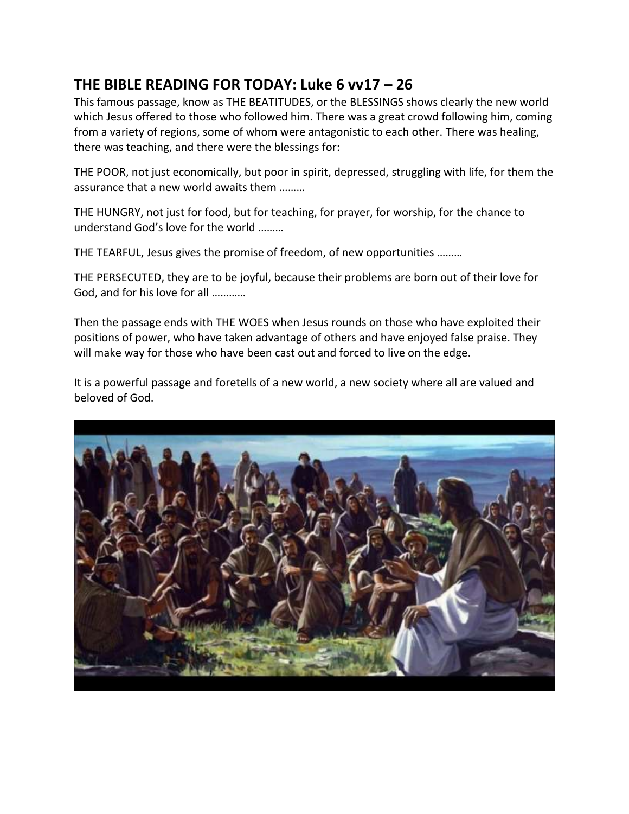# **THE BIBLE READING FOR TODAY: Luke 6 vv17 – 26**

This famous passage, know as THE BEATITUDES, or the BLESSINGS shows clearly the new world which Jesus offered to those who followed him. There was a great crowd following him, coming from a variety of regions, some of whom were antagonistic to each other. There was healing, there was teaching, and there were the blessings for:

THE POOR, not just economically, but poor in spirit, depressed, struggling with life, for them the assurance that a new world awaits them ………

THE HUNGRY, not just for food, but for teaching, for prayer, for worship, for the chance to understand God's love for the world ………

THE TEARFUL, Jesus gives the promise of freedom, of new opportunities ………

THE PERSECUTED, they are to be joyful, because their problems are born out of their love for God, and for his love for all …………

Then the passage ends with THE WOES when Jesus rounds on those who have exploited their positions of power, who have taken advantage of others and have enjoyed false praise. They will make way for those who have been cast out and forced to live on the edge.

It is a powerful passage and foretells of a new world, a new society where all are valued and beloved of God.

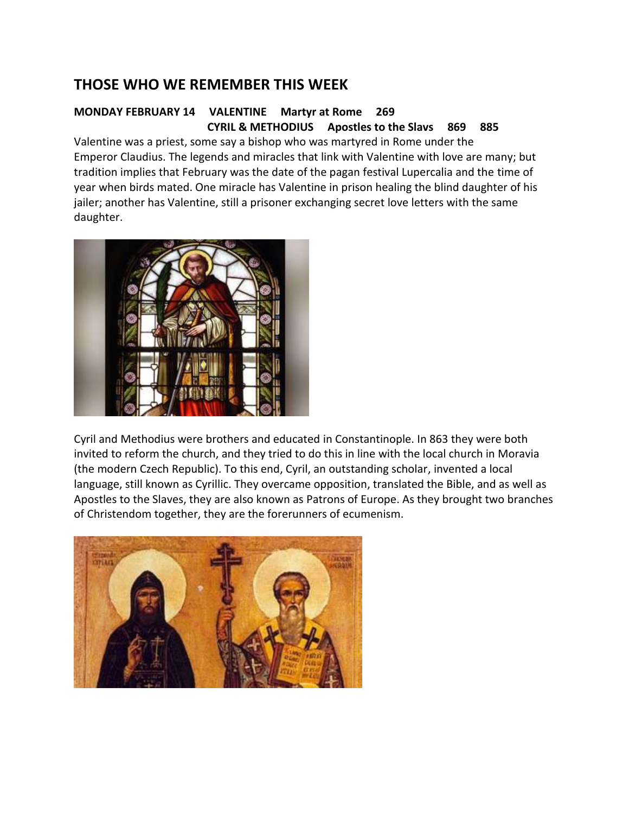## **THOSE WHO WE REMEMBER THIS WEEK**

#### **MONDAY FEBRUARY 14 VALENTINE Martyr at Rome 269 CYRIL & METHODIUS Apostles to the Slavs 869 885**

Valentine was a priest, some say a bishop who was martyred in Rome under the Emperor Claudius. The legends and miracles that link with Valentine with love are many; but tradition implies that February was the date of the pagan festival Lupercalia and the time of year when birds mated. One miracle has Valentine in prison healing the blind daughter of his jailer; another has Valentine, still a prisoner exchanging secret love letters with the same daughter.



Cyril and Methodius were brothers and educated in Constantinople. In 863 they were both invited to reform the church, and they tried to do this in line with the local church in Moravia (the modern Czech Republic). To this end, Cyril, an outstanding scholar, invented a local language, still known as Cyrillic. They overcame opposition, translated the Bible, and as well as Apostles to the Slaves, they are also known as Patrons of Europe. As they brought two branches of Christendom together, they are the forerunners of ecumenism.

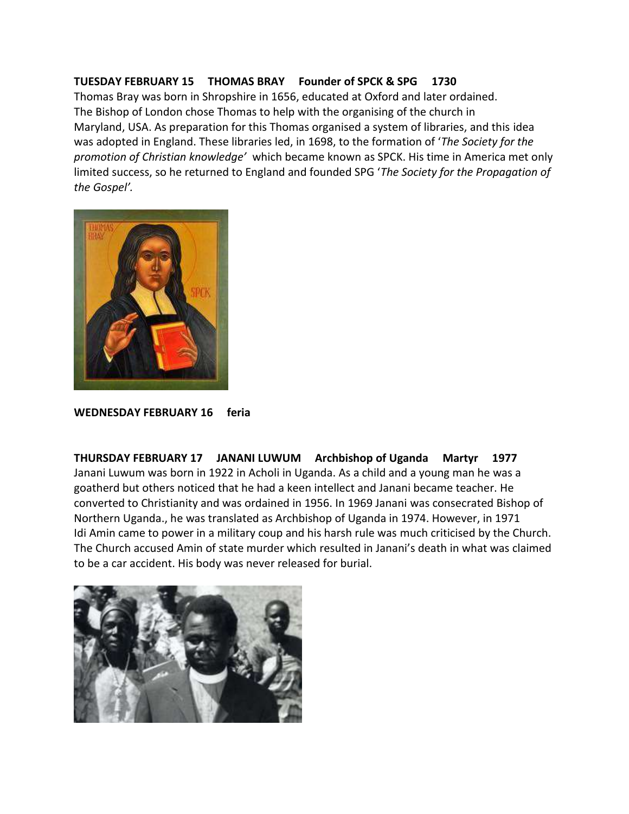#### **TUESDAY FEBRUARY 15 THOMAS BRAY Founder of SPCK & SPG 1730**

Thomas Bray was born in Shropshire in 1656, educated at Oxford and later ordained. The Bishop of London chose Thomas to help with the organising of the church in Maryland, USA. As preparation for this Thomas organised a system of libraries, and this idea was adopted in England. These libraries led, in 1698, to the formation of '*The Society for the promotion of Christian knowledge'* which became known as SPCK. His time in America met only limited success, so he returned to England and founded SPG '*The Society for the Propagation of the Gospel'.*



**WEDNESDAY FEBRUARY 16 feria**

**THURSDAY FEBRUARY 17 JANANI LUWUM Archbishop of Uganda Martyr 1977** Janani Luwum was born in 1922 in Acholi in Uganda. As a child and a young man he was a goatherd but others noticed that he had a keen intellect and Janani became teacher. He converted to Christianity and was ordained in 1956. In 1969 Janani was consecrated Bishop of Northern Uganda., he was translated as Archbishop of Uganda in 1974. However, in 1971 Idi Amin came to power in a military coup and his harsh rule was much criticised by the Church. The Church accused Amin of state murder which resulted in Janani's death in what was claimed to be a car accident. His body was never released for burial.

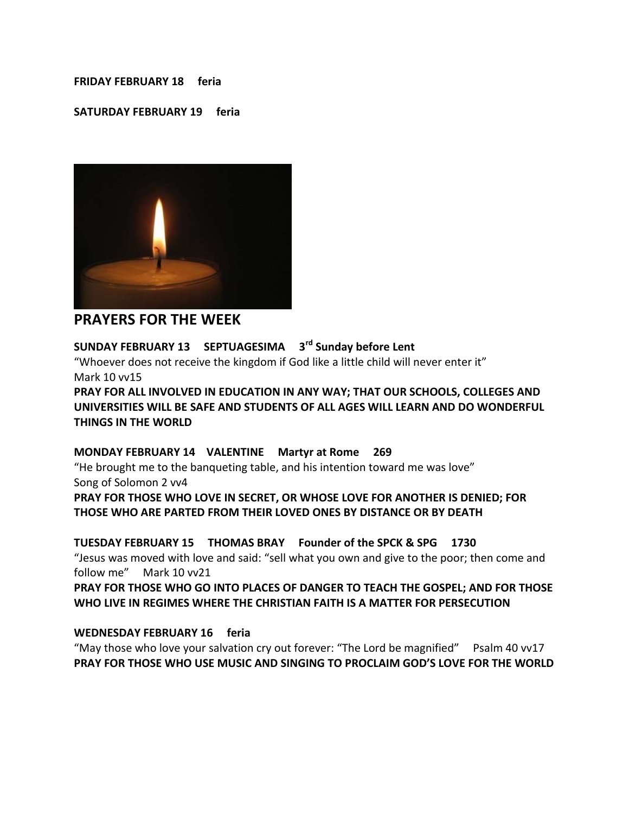#### **FRIDAY FEBRUARY 18 feria**

#### **SATURDAY FEBRUARY 19 feria**



### **PRAYERS FOR THE WEEK**

### **SUNDAY FEBRUARY 13 SEPTUAGESIMA 3rd Sunday before Lent**

"Whoever does not receive the kingdom if God like a little child will never enter it" Mark 10 vv15

**PRAY FOR ALL INVOLVED IN EDUCATION IN ANY WAY; THAT OUR SCHOOLS, COLLEGES AND UNIVERSITIES WILL BE SAFE AND STUDENTS OF ALL AGES WILL LEARN AND DO WONDERFUL THINGS IN THE WORLD** 

#### **MONDAY FEBRUARY 14 VALENTINE Martyr at Rome 269**

"He brought me to the banqueting table, and his intention toward me was love" Song of Solomon 2 vv4

**PRAY FOR THOSE WHO LOVE IN SECRET, OR WHOSE LOVE FOR ANOTHER IS DENIED; FOR THOSE WHO ARE PARTED FROM THEIR LOVED ONES BY DISTANCE OR BY DEATH**

### **TUESDAY FEBRUARY 15 THOMAS BRAY Founder of the SPCK & SPG 1730**

"Jesus was moved with love and said: "sell what you own and give to the poor; then come and follow me" Mark 10 vv21

**PRAY FOR THOSE WHO GO INTO PLACES OF DANGER TO TEACH THE GOSPEL; AND FOR THOSE WHO LIVE IN REGIMES WHERE THE CHRISTIAN FAITH IS A MATTER FOR PERSECUTION** 

#### **WEDNESDAY FEBRUARY 16 feria**

"May those who love your salvation cry out forever: "The Lord be magnified" Psalm 40 vv17 **PRAY FOR THOSE WHO USE MUSIC AND SINGING TO PROCLAIM GOD'S LOVE FOR THE WORLD**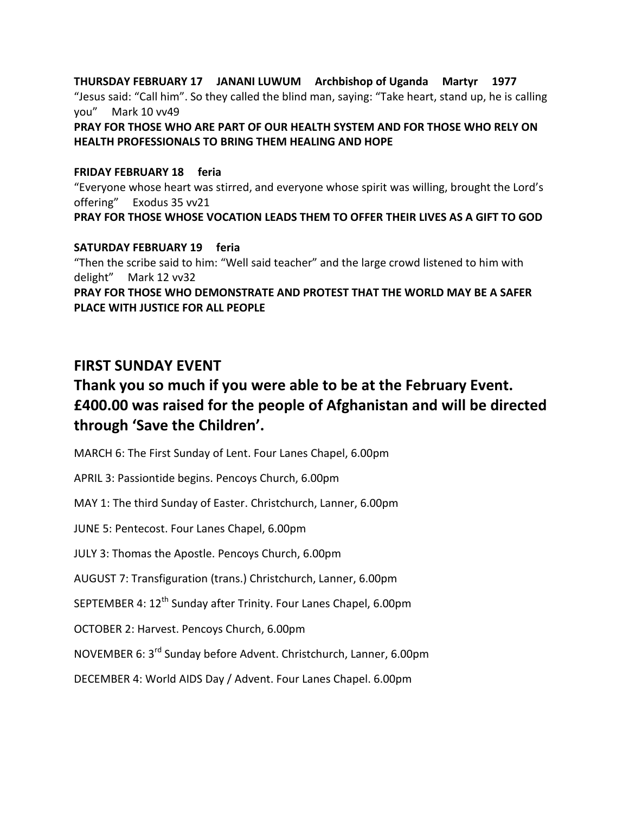#### **THURSDAY FEBRUARY 17 JANANI LUWUM Archbishop of Uganda Martyr 1977** "Jesus said: "Call him". So they called the blind man, saying: "Take heart, stand up, he is calling you" Mark 10 vv49

#### **PRAY FOR THOSE WHO ARE PART OF OUR HEALTH SYSTEM AND FOR THOSE WHO RELY ON HEALTH PROFESSIONALS TO BRING THEM HEALING AND HOPE**

#### **FRIDAY FEBRUARY 18 feria**

"Everyone whose heart was stirred, and everyone whose spirit was willing, brought the Lord's offering" Exodus 35 vv21

### **PRAY FOR THOSE WHOSE VOCATION LEADS THEM TO OFFER THEIR LIVES AS A GIFT TO GOD**

**SATURDAY FEBRUARY 19 feria** "Then the scribe said to him: "Well said teacher" and the large crowd listened to him with delight" Mark 12 vv32 **PRAY FOR THOSE WHO DEMONSTRATE AND PROTEST THAT THE WORLD MAY BE A SAFER PLACE WITH JUSTICE FOR ALL PEOPLE**

## **FIRST SUNDAY EVENT**

# **Thank you so much if you were able to be at the February Event. £400.00 was raised for the people of Afghanistan and will be directed through 'Save the Children'.**

MARCH 6: The First Sunday of Lent. Four Lanes Chapel, 6.00pm

APRIL 3: Passiontide begins. Pencoys Church, 6.00pm

MAY 1: The third Sunday of Easter. Christchurch, Lanner, 6.00pm

JUNE 5: Pentecost. Four Lanes Chapel, 6.00pm

JULY 3: Thomas the Apostle. Pencoys Church, 6.00pm

AUGUST 7: Transfiguration (trans.) Christchurch, Lanner, 6.00pm

SEPTEMBER 4: 12<sup>th</sup> Sunday after Trinity. Four Lanes Chapel, 6.00pm

OCTOBER 2: Harvest. Pencoys Church, 6.00pm

NOVEMBER 6: 3rd Sunday before Advent. Christchurch, Lanner, 6.00pm

DECEMBER 4: World AIDS Day / Advent. Four Lanes Chapel. 6.00pm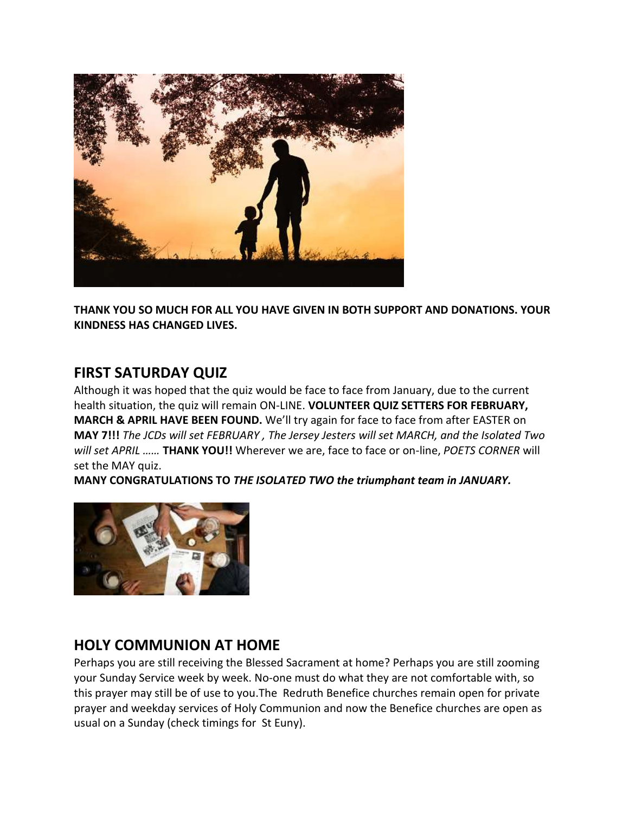

**THANK YOU SO MUCH FOR ALL YOU HAVE GIVEN IN BOTH SUPPORT AND DONATIONS. YOUR KINDNESS HAS CHANGED LIVES.** 

## **FIRST SATURDAY QUIZ**

Although it was hoped that the quiz would be face to face from January, due to the current health situation, the quiz will remain ON-LINE. **VOLUNTEER QUIZ SETTERS FOR FEBRUARY, MARCH & APRIL HAVE BEEN FOUND.** We'll try again for face to face from after EASTER on **MAY 7!!!** *The JCDs will set FEBRUARY , The Jersey Jesters will set MARCH, and the Isolated Two will set APRIL ……* **THANK YOU!!** Wherever we are, face to face or on-line, *POETS CORNER* will set the MAY quiz.

**MANY CONGRATULATIONS TO** *THE ISOLATED TWO the triumphant team in JANUARY.* 



## **HOLY COMMUNION AT HOME**

Perhaps you are still receiving the Blessed Sacrament at home? Perhaps you are still zooming your Sunday Service week by week. No-one must do what they are not comfortable with, so this prayer may still be of use to you.The Redruth Benefice churches remain open for private prayer and weekday services of Holy Communion and now the Benefice churches are open as usual on a Sunday (check timings for St Euny).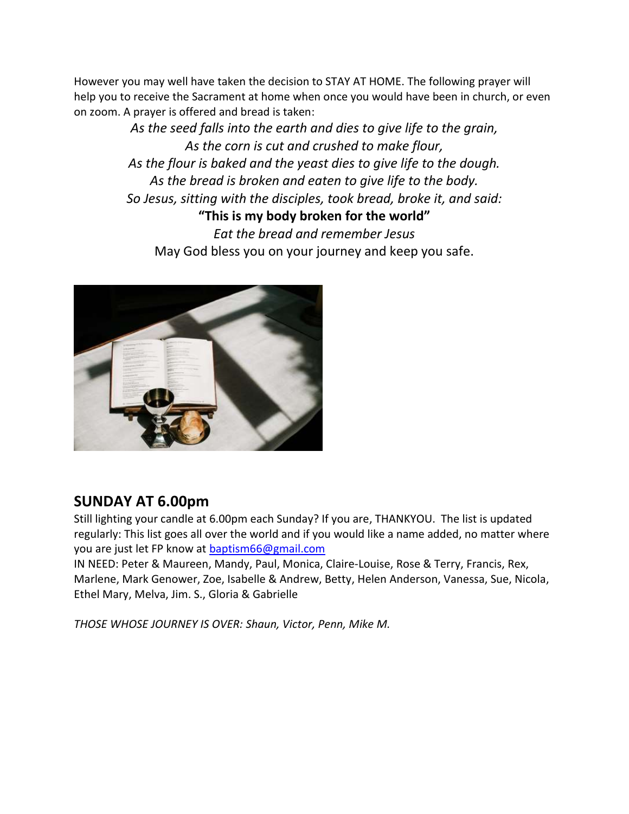However you may well have taken the decision to STAY AT HOME. The following prayer will help you to receive the Sacrament at home when once you would have been in church, or even on zoom. A prayer is offered and bread is taken:

> *As the seed falls into the earth and dies to give life to the grain, As the corn is cut and crushed to make flour, As the flour is baked and the yeast dies to give life to the dough. As the bread is broken and eaten to give life to the body. So Jesus, sitting with the disciples, took bread, broke it, and said:* **"This is my body broken for the world"** *Eat the bread and remember Jesus* May God bless you on your journey and keep you safe.



## **SUNDAY AT 6.00pm**

Still lighting your candle at 6.00pm each Sunday? If you are, THANKYOU. The list is updated regularly: This list goes all over the world and if you would like a name added, no matter where you are just let FP know at [baptism66@gmail.com](mailto:baptism66@gmail.com)

IN NEED: Peter & Maureen, Mandy, Paul, Monica, Claire-Louise, Rose & Terry, Francis, Rex, Marlene, Mark Genower, Zoe, Isabelle & Andrew, Betty, Helen Anderson, Vanessa, Sue, Nicola, Ethel Mary, Melva, Jim. S., Gloria & Gabrielle

*THOSE WHOSE JOURNEY IS OVER: Shaun, Victor, Penn, Mike M.*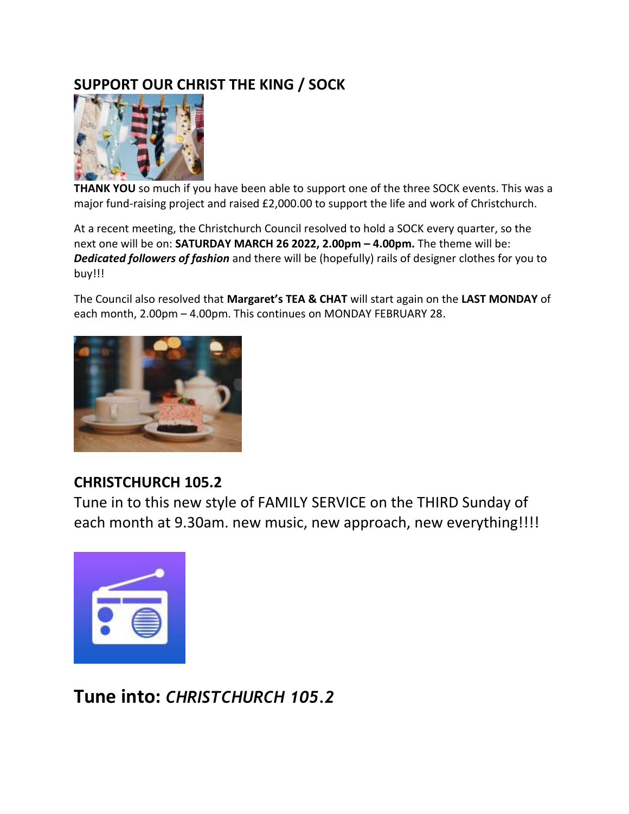# **SUPPORT OUR CHRIST THE KING / SOCK**



**THANK YOU** so much if you have been able to support one of the three SOCK events. This was a major fund-raising project and raised £2,000.00 to support the life and work of Christchurch.

At a recent meeting, the Christchurch Council resolved to hold a SOCK every quarter, so the next one will be on: **SATURDAY MARCH 26 2022, 2.00pm – 4.00pm.** The theme will be: *Dedicated followers of fashion* and there will be (hopefully) rails of designer clothes for you to buy!!!

The Council also resolved that **Margaret's TEA & CHAT** will start again on the **LAST MONDAY** of each month, 2.00pm – 4.00pm. This continues on MONDAY FEBRUARY 28.



# **CHRISTCHURCH 105.2**

Tune in to this new style of FAMILY SERVICE on the THIRD Sunday of each month at 9.30am. new music, new approach, new everything!!!!



**Tune into:** *CHRISTCHURCH 105.2*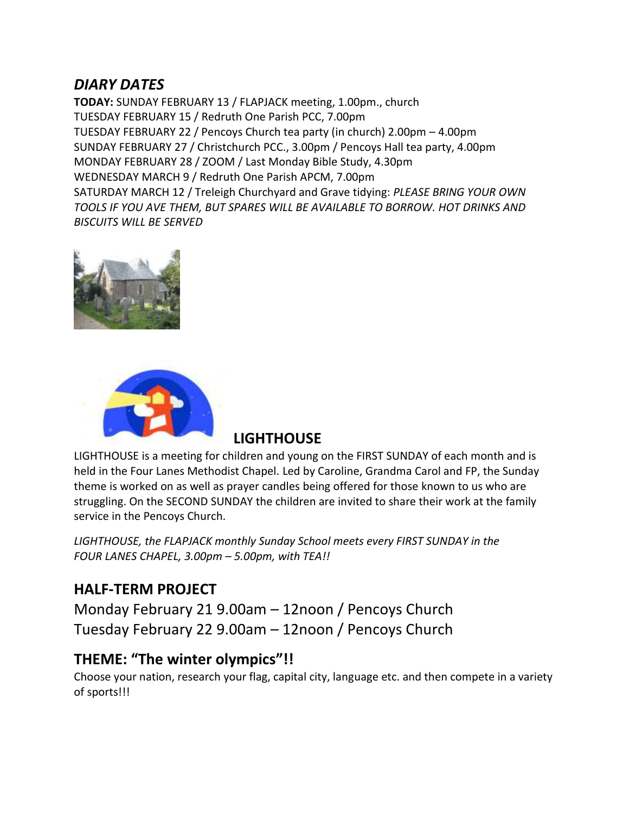## *DIARY DATES*

**TODAY:** SUNDAY FEBRUARY 13 / FLAPJACK meeting, 1.00pm., church TUESDAY FEBRUARY 15 / Redruth One Parish PCC, 7.00pm TUESDAY FEBRUARY 22 / Pencoys Church tea party (in church) 2.00pm – 4.00pm SUNDAY FEBRUARY 27 / Christchurch PCC., 3.00pm / Pencoys Hall tea party, 4.00pm MONDAY FEBRUARY 28 / ZOOM / Last Monday Bible Study, 4.30pm WEDNESDAY MARCH 9 / Redruth One Parish APCM, 7.00pm SATURDAY MARCH 12 / Treleigh Churchyard and Grave tidying: *PLEASE BRING YOUR OWN TOOLS IF YOU AVE THEM, BUT SPARES WILL BE AVAILABLE TO BORROW. HOT DRINKS AND BISCUITS WILL BE SERVED*





### **LIGHTHOUSE**

LIGHTHOUSE is a meeting for children and young on the FIRST SUNDAY of each month and is held in the Four Lanes Methodist Chapel. Led by Caroline, Grandma Carol and FP, the Sunday theme is worked on as well as prayer candles being offered for those known to us who are struggling. On the SECOND SUNDAY the children are invited to share their work at the family service in the Pencoys Church.

*LIGHTHOUSE, the FLAPJACK monthly Sunday School meets every FIRST SUNDAY in the FOUR LANES CHAPEL, 3.00pm – 5.00pm, with TEA!!*

## **HALF-TERM PROJECT**

Monday February 21 9.00am – 12noon / Pencoys Church Tuesday February 22 9.00am – 12noon / Pencoys Church

## **THEME: "The winter olympics"!!**

Choose your nation, research your flag, capital city, language etc. and then compete in a variety of sports!!!